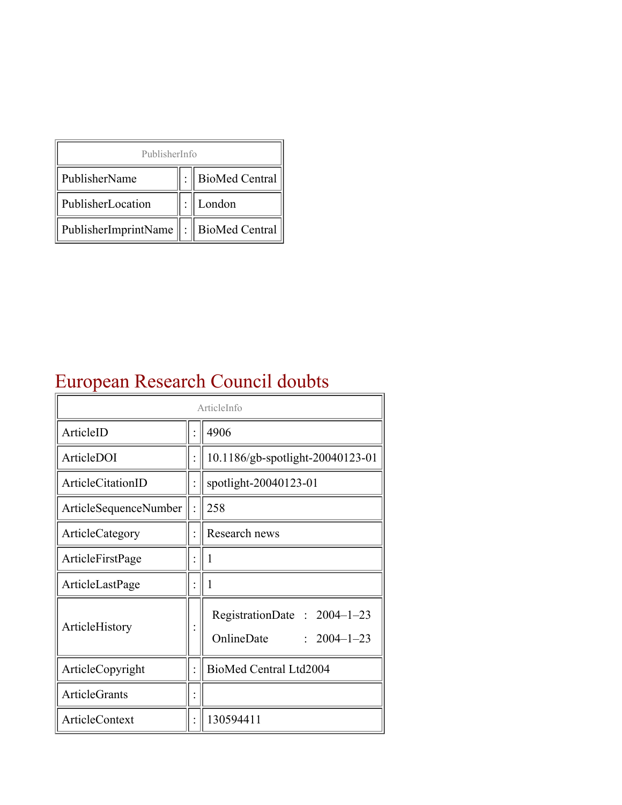| PublisherInfo                                   |  |                    |  |  |
|-------------------------------------------------|--|--------------------|--|--|
| PublisherName                                   |  | :   BioMed Central |  |  |
| PublisherLocation                               |  | London             |  |  |
| PublisherImprintName $\ \cdot\ $ BioMed Central |  |                    |  |  |

## European Research Council doubts

| ArticleInfo           |  |                                                                  |
|-----------------------|--|------------------------------------------------------------------|
| ArticleID             |  | 4906                                                             |
| ArticleDOI            |  | 10.1186/gb-spotlight-20040123-01                                 |
| ArticleCitationID     |  | spotlight-20040123-01                                            |
| ArticleSequenceNumber |  | 258                                                              |
| ArticleCategory       |  | Research news                                                    |
| ArticleFirstPage      |  | 1                                                                |
| ArticleLastPage       |  | 1                                                                |
| ArticleHistory        |  | RegistrationDate: $2004-1-23$<br>OnlineDate<br>$: 2004 - 1 - 23$ |
| ArticleCopyright      |  | BioMed Central Ltd2004                                           |
| <b>ArticleGrants</b>  |  |                                                                  |
| <b>ArticleContext</b> |  | 130594411                                                        |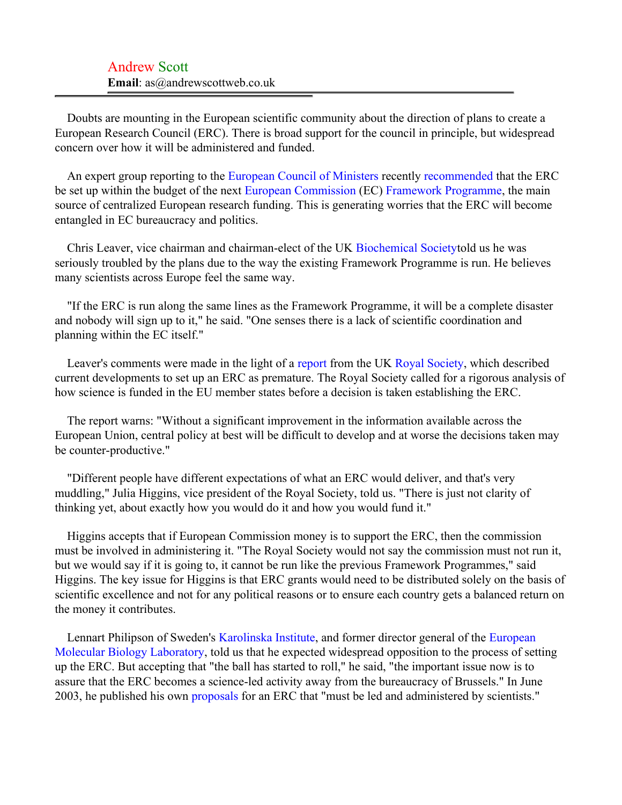Doubts are mounting in the European scientific community about the direction of plans to create a European Research Council (ERC). There is broad support for the council in principle, but widespread concern over how it will be administered and funded.

An expert group reporting to the [European Council of Ministers](#page-2-0) recently [recommended](#page-2-1) that the ERC be set up within the budget of the next [European Commission](#page-2-2) (EC) [Framework Programme](#page-2-3), the main source of centralized European research funding. This is generating worries that the ERC will become entangled in EC bureaucracy and politics.

Chris Leaver, vice chairman and chairman-elect of the UK [Biochemical Society](#page-2-4)told us he was seriously troubled by the plans due to the way the existing Framework Programme is run. He believes many scientists across Europe feel the same way.

"If the ERC is run along the same lines as the Framework Programme, it will be a complete disaster and nobody will sign up to it," he said. "One senses there is a lack of scientific coordination and planning within the EC itself."

Leaver's comments were made in the light of a [report](#page-3-0) from the UK [Royal Society,](#page-3-1) which described current developments to set up an ERC as premature. The Royal Society called for a rigorous analysis of how science is funded in the EU member states before a decision is taken establishing the ERC.

The report warns: "Without a significant improvement in the information available across the European Union, central policy at best will be difficult to develop and at worse the decisions taken may be counter-productive."

"Different people have different expectations of what an ERC would deliver, and that's very muddling," Julia Higgins, vice president of the Royal Society, told us. "There is just not clarity of thinking yet, about exactly how you would do it and how you would fund it."

Higgins accepts that if European Commission money is to support the ERC, then the commission must be involved in administering it. "The Royal Society would not say the commission must not run it, but we would say if it is going to, it cannot be run like the previous Framework Programmes," said Higgins. The key issue for Higgins is that ERC grants would need to be distributed solely on the basis of scientific excellence and not for any political reasons or to ensure each country gets a balanced return on the money it contributes.

Lennart Philipson of Sweden's [Karolinska Institute](#page-3-2), and former director general of the [European](#page-3-3) [Molecular Biology Laboratory](#page-3-3), told us that he expected widespread opposition to the process of setting up the ERC. But accepting that "the ball has started to roll," he said, "the important issue now is to assure that the ERC becomes a science-led activity away from the bureaucracy of Brussels." In June 2003, he published his own [proposals](#page-3-4) for an ERC that "must be led and administered by scientists."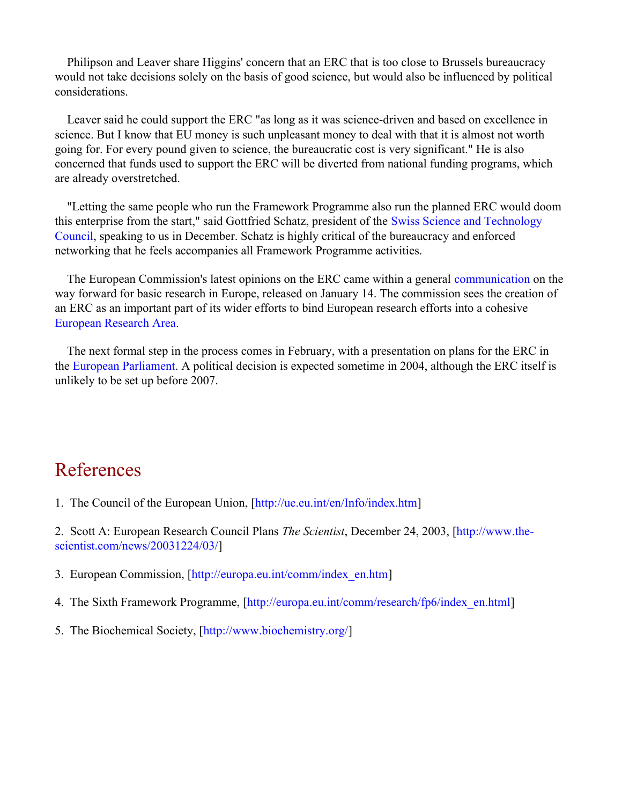Philipson and Leaver share Higgins' concern that an ERC that is too close to Brussels bureaucracy would not take decisions solely on the basis of good science, but would also be influenced by political considerations.

Leaver said he could support the ERC "as long as it was science-driven and based on excellence in science. But I know that EU money is such unpleasant money to deal with that it is almost not worth going for. For every pound given to science, the bureaucratic cost is very significant." He is also concerned that funds used to support the ERC will be diverted from national funding programs, which are already overstretched.

"Letting the same people who run the Framework Programme also run the planned ERC would doom this enterprise from the start," said Gottfried Schatz, president of the [Swiss Science and Technology](#page-3-5) [Council,](#page-3-5) speaking to us in December. Schatz is highly critical of the bureaucracy and enforced networking that he feels accompanies all Framework Programme activities.

The European Commission's latest opinions on the ERC came within a general [communication](#page-3-6) on the way forward for basic research in Europe, released on January 14. The commission sees the creation of an ERC as an important part of its wider efforts to bind European research efforts into a cohesive [European Research Area](#page-3-7).

The next formal step in the process comes in February, with a presentation on plans for the ERC in the [European Parliament.](#page-3-8) A political decision is expected sometime in 2004, although the ERC itself is unlikely to be set up before 2007.

## References

1. The Council of the European Union, [http://ue.eu.int/en/Info/index.htm]

2. Scott A: European Research Council Plans *The Scientist*, December 24, 2003, [http://www.thescientist.com/news/20031224/03/]

- <span id="page-2-0"></span>3. European Commission, [http://europa.eu.int/comm/index\_en.htm]
- <span id="page-2-1"></span>4. The Sixth Framework Programme, [http://europa.eu.int/comm/research/fp6/index\_en.html]
- <span id="page-2-4"></span><span id="page-2-3"></span><span id="page-2-2"></span>5. [The Biochemical Society, \[http](http://www.the-scientist.com/news/20031224/03/)://www.biochemistry.org/]